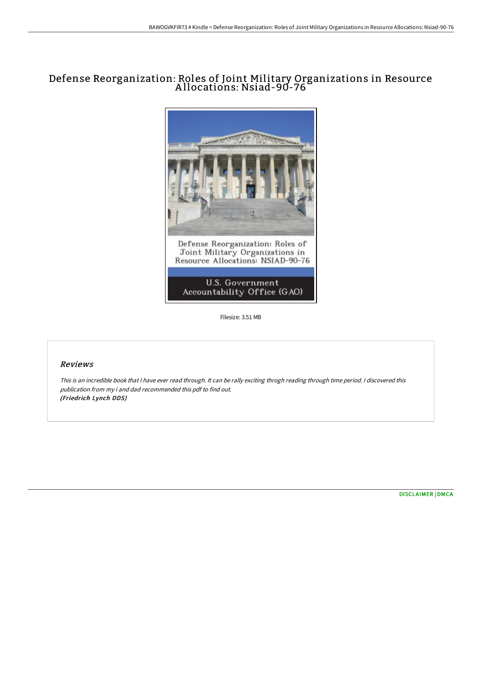# Defense Reorganization: Roles of Joint Military Organizations in Resource A llocations: Nsiad-90-76



Filesize: 3.51 MB

## Reviews

This is an incredible book that I have ever read through. It can be rally exciting throgh reading through time period. I discovered this publication from my i and dad recommended this pdf to find out. (Friedrich Lynch DDS)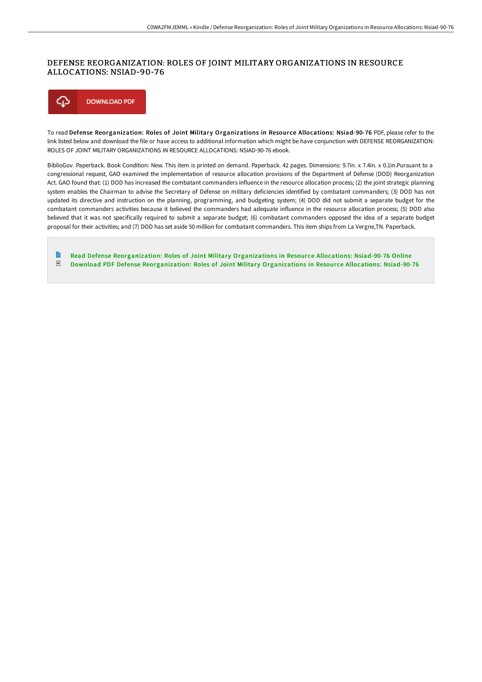# DEFENSE REORGANIZATION: ROLES OF JOINT MILITARY ORGANIZATIONS IN RESOURCE ALLOCATIONS: NSIAD-90-76



To read Defense Reorganization: Roles of Joint Military Organizations in Resource Allocations: Nsiad-90-76 PDF, please refer to the link listed below and download the file or have access to additional information which might be have conjunction with DEFENSE REORGANIZATION: ROLES OF JOINT MILITARY ORGANIZATIONS IN RESOURCE ALLOCATIONS: NSIAD-90-76 ebook.

BiblioGov. Paperback. Book Condition: New. This item is printed on demand. Paperback. 42 pages. Dimensions: 9.7in. x 7.4in. x 0.1in.Pursuant to a congressional request, GAO examined the implementation of resource allocation provisions of the Department of Defense (DOD) Reorganization Act. GAO found that: (1) DOD has increased the combatant commanders influence in the resource allocation process; (2) the joint strategic planning system enables the Chairman to advise the Secretary of Defense on military deficiencies identified by combatant commanders; (3) DOD has not updated its directive and instruction on the planning, programming, and budgeting system; (4) DOD did not submit a separate budget for the combatant commanders activities because it believed the commanders had adequate influence in the resource allocation process; (5) DOD also believed that it was not specifically required to submit a separate budget; (6) combatant commanders opposed the idea of a separate budget proposal for their activities; and (7) DOD has set aside 50 million for combatant commanders. This item ships from La Vergne,TN. Paperback.

Read Defense [Reorganization:](http://techno-pub.tech/defense-reorganization-roles-of-joint-military-o.html) Roles of Joint Military Organizations in Resource Allocations: Nsiad-90-76 Online  $_{\rm PDF}$ Download PDF Defense [Reorganization:](http://techno-pub.tech/defense-reorganization-roles-of-joint-military-o.html) Roles of Joint Military Organizations in Resource Allocations: Nsiad-90-76